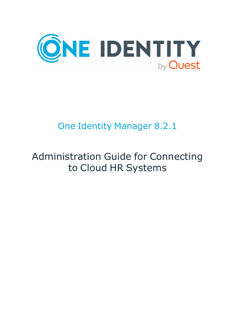

## One Identity Manager 8.2.1

# Administration Guide for Connecting to Cloud HR Systems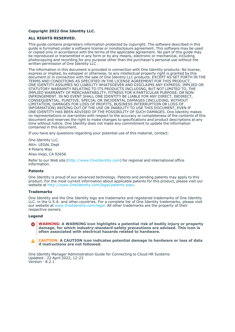#### **Copyright 2022 One Identity LLC.**

#### **ALL RIGHTS RESERVED.**

This guide contains proprietary information protected by copyright. The software described in this guide is furnished under a software license or nondisclosure agreement. This software may be used or copied only in accordance with the terms of the applicable agreement. No part of this guide may be reproduced or transmitted in any form or by any means, electronic or mechanical, including photocopying and recording for any purpose other than the purchaser's personal use without the written permission of One Identity LLC .

The information in this document is provided in connection with One Identity products. No license, express or implied, by estoppel or otherwise, to any intellectual property right is granted by this document or in connection with the sale of One Identity LLC products. EXCEPT AS SET FORTH IN THE TERMS AND CONDITIONS AS SPECIFIED IN THE LICENSE AGREEMENT FOR THIS PRODUCT, ONE IDENTITY ASSUMES NO LIABILITY WHATSOEVER AND DISCLAIMS ANY EXPRESS, IMPLIED OR STATUTORY WARRANTY RELATING TO ITS PRODUCTS INCLUDING, BUT NOT LIMITED TO, THE IMPLIED WARRANTY OF MERCHANTABILITY, FITNESS FOR A PARTICULAR PURPOSE, OR NON-INFRINGEMENT. IN NO EVENT SHALL ONE IDENTITY BE LIABLE FOR ANY DIRECT, INDIRECT, CONSEQUENTIAL, PUNITIVE, SPECIAL OR INCIDENTAL DAMAGES (INCLUDING, WITHOUT LIMITATION, DAMAGES FOR LOSS OF PROFITS, BUSINESS INTERRUPTION OR LOSS OF INFORMATION) ARISING OUT OF THE USE OR INABILITY TO USE THIS DOCUMENT, EVEN IF ONE IDENTITY HAS BEEN ADVISED OF THE POSSIBILITY OF SUCH DAMAGES. One Identity makes no representations or warranties with respect to the accuracy or completeness of the contents of this document and reserves the right to make changes to specifications and product descriptions at any time without notice. One Identity does not make any commitment to update the information contained in this document.

If you have any questions regarding your potential use of this material, contact:

One Identity LLC. Attn: LEGAL Dept 4 Polaris Way Aliso Viejo, CA 92656

Refer to our Web site [\(http://www.OneIdentity.com](http://www.oneidentity.com/)) for regional and international office information.

#### **Patents**

One Identity is proud of our advanced technology. Patents and pending patents may apply to this product. For the most current information about applicable patents for this product, please visit our website at [http://www.OneIdentity.com/legal/patents.aspx.](http://www.oneidentity.com/legal/patents.aspx)

#### **Trademarks**

One Identity and the One Identity logo are trademarks and registered trademarks of One Identity LLC. in the U.S.A. and other countries. For a complete list of One Identity trademarks, please visit our website at [www.OneIdentity.com/legal](http://www.oneidentity.com/legal). All other trademarks are the property of their respective owners.

#### **Legend**

**WARNING: A WARNING icon highlights a potential risk of bodily injury or property** œ **damage, for which industry-standard safety precautions are advised. This icon is often associated with electrical hazards related to hardware.**

**CAUTION: A CAUTION icon indicates potential damage to hardware or loss of data if instructions are not followed.**

One Identity Manager Administration Guide for Connecting to Cloud HR Systems Updated - 22 April 2022, 12:23 Version - 8.2.1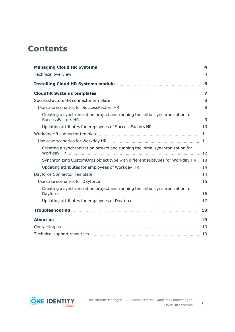## **Contents**

| Creating a synchronization project and running the initial synchronization for  |  |
|---------------------------------------------------------------------------------|--|
|                                                                                 |  |
|                                                                                 |  |
|                                                                                 |  |
| Creating a synchronization project and running the initial synchronization for  |  |
| Synchronizing CustomOrgs object type with different subtypes for Workday HR  13 |  |
|                                                                                 |  |
|                                                                                 |  |
|                                                                                 |  |
| Creating a synchronization project and running the initial synchronization for  |  |
|                                                                                 |  |
|                                                                                 |  |
|                                                                                 |  |
|                                                                                 |  |
|                                                                                 |  |

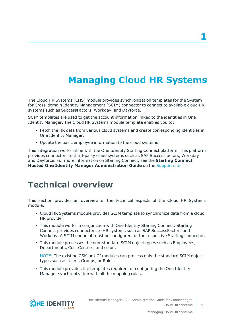## **Managing Cloud HR Systems**

<span id="page-3-0"></span>The Cloud HR Systems (CHS) module provides synchronization templates for the System for Cross-domain Identity Management (SCIM) connector to connect to available cloud HR systems such as SuccessFactors, Workday, and Dayforce.

SCIM templates are used to get the account information linked to the identities in One Identity Manager. The Cloud HR Systems module template enables you to:

- Fetch the HR data from various cloud systems and create corresponding identities in One Identity Manager.
- Update the basic employee information to the cloud systems.

This integration works inline with the One Identity Starling Connect platform. This platform provides connectors to third-party cloud systems such as SAP Successfactors, Workday and Dayforce. For more information on Starling Connect, see the **Starling Connect Hosted One Identity Manager Administration Guide** on the [Support](https://support.oneidentity.com/starling-connect/hosted/technical-documents) site.

### <span id="page-3-1"></span>**Technical overview**

This section provides an overview of the technical aspects of the Cloud HR Systems module.

- Cloud HR Systems module provides SCIM template to synchronize data from a cloud HR provider.
- This module works in conjunction with One Identity Starling Connect. Starling Connect provides connectors to HR systems such as SAP SuccessFactors and Workday. A SCIM endpoint must be configured for the respective Starling connector.
- This module processes the non-standard SCIM object types such as Employees, Departments, Cost Centers, and so on.

NOTE: The existing CSM or UCI modules can process only the standard SCIM object types such as Users, Groups, or Roles.

• This module provides the templates required for configuring the One Identity Manager synchronization with all the mapping rules.

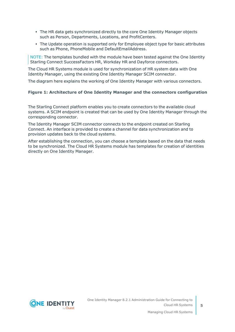- The HR data gets synchronized directly to the core One Identity Manager objects such as Person, Departments, Locations, and ProfitCenters.
- The Update operation is supported only for Employee object type for basic attributes such as Phone, PhoneMobile and DefaultEmailAddress.

NOTE: The templates bundled with the module have been tested against the One Identity Starling Connect SuccessFactors HR, Workday HR and Dayforce connectors.

The Cloud HR Systems module is used for synchronization of HR system data with One Identity Manager, using the existing One Identity Manager SCIM connector.

The diagram here explains the working of One Identity Manager with various connectors.

#### **Figure 1: Architecture of One Identity Manager and the connectors configuration**

The Starling Connect platform enables you to create connectors to the available cloud systems. A SCIM endpoint is created that can be used by One Identity Manager through the corresponding connector.

The Identity Manager SCIM connector connects to the endpoint created on Starling Connect. An interface is provided to create a channel for data synchronization and to provision updates back to the cloud systems.

After establishing the connection, you can choose a template based on the data that needs to be synchronized. The Cloud HR Systems module has templates for creation of identities directly on One Identity Manager.

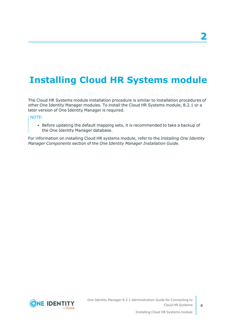## <span id="page-5-0"></span>**Installing Cloud HR Systems module**

The Cloud HR Systems module installation procedure is similar to installation procedures of other One Identity Manager modules. To install the Cloud HR Systems module, 8.2.1 or a later version of One Identity Manager is required.

NOTE:

• Before updating the default mapping sets, it is recommended to take a backup of the One Identity Manager database.

For information on installing Cloud HR systems module, refer to the *Installing One Identity Manager Components* section of the *One Identity Manager Installation Guide*.

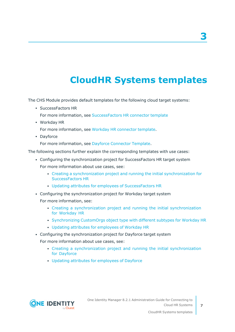## **CloudHR Systems templates**

<span id="page-6-0"></span>The CHS Module provides default templates for the following cloud target systems:

- SuccessFactors HR
	- For more information, see [SuccessFactors](#page-7-0) HR connector template
- Workday HR

For more information, see Workday HR [connector](#page-10-0) template.

• Dayforce

For more information, see Dayforce [Connector](#page-13-1) Template.

The following sections further explain the corresponding templates with use cases:

- <sup>l</sup> Configuring the synchronization project for SuccessFactors HR target system For more information about use cases, see:
	- Creating a [synchronization](#page-8-0) project and running the initial synchronization for [SuccessFactors](#page-8-0) HR
	- Updating attributes for employees of [SuccessFactors](#page-9-0) HR
- Configuring the synchronization project for Workday target system
	- For more information, see:
		- Creating a [synchronization](#page-11-0) project and running the initial synchronization for [Workday](#page-11-0) HR
		- [Synchronizing](#page-12-0) CustomOrgs object type with different subtypes for Workday HR
		- Updating attributes for [employees](#page-13-0) of Workday HR
- Configuring the synchronization project for Dayforce target system

For more information about use cases, see:

- Creating a [synchronization](#page-15-0) project and running the initial synchronization for [Dayforce](#page-15-0)
- Updating attributes for [employees](#page-16-0) of Dayforce

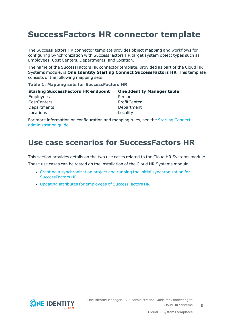## <span id="page-7-0"></span>**SuccessFactors HR connector template**

The SuccessFactors HR connector template provides object mapping and workflows for configuring Synchronization with SuccessFactors HR target system object types such as Employees, Cost Centers, Departments, and Location.

The name of the SuccessFactors HR connector template, provided as part of the Cloud HR Systems module, is **One Identity Starling Connect SuccessFactors HR**. This template consists of the following mapping sets.

#### **Table 1: Mapping sets for SuccessFactors HR**

| <b>Starling SuccessFactors HR endpoint</b> | <b>One Identity Manager table</b> |
|--------------------------------------------|-----------------------------------|
| Employees                                  | Person                            |
| CostCenters                                | ProfitCenter                      |
| Departments                                | Department                        |
| Locations                                  | Locality                          |

For more information on configuration and mapping rules, see the Starling [Connect](https://support.oneidentity.com/technical-documents/starling-connect/hosted/administration-guide) [administration](https://support.oneidentity.com/technical-documents/starling-connect/hosted/administration-guide) guide.

### <span id="page-7-1"></span>**Use case scenarios for SuccessFactors HR**

This section provides details on the two use cases related to the Cloud HR Systems module.

These use cases can be tested on the installation of the Cloud HR Systems module

- Creating a [synchronization](#page-8-0) project and running the initial synchronization for [SuccessFactors](#page-8-0) HR
- Updating attributes for employees of [SuccessFactors](#page-9-0) HR

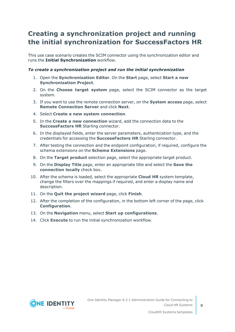### <span id="page-8-0"></span>**Creating a synchronization project and running the initial synchronization for SuccessFactors HR**

This use case scenario creates the SCIM connector using the synchronization editor and runs the **Initial Synchronization** workflow.

### *To create a synchronization project and run the initial synchronization*

- 1. Open the **Synchronization Editor**. On the **Start** page, select **Start a new Synchronization Project**.
- 2. On the **Choose target system** page, select the SCIM connector as the target system.
- 3. If you want to use the remote connection server, on the **System access** page, select **Remote Connection Server** and click **Next**.
- 4. Select **Create a new system connection**.
- 5. In the **Create a new connection** wizard, add the connection data to the **SuccessFactors HR** Starling connector.
- 6. In the displayed fields, enter the server parameters, authentication type, and the credentials for accessing the **SuccessFactors HR** Starling connector.
- 7. After testing the connection and the endpoint configuration, if required, configure the schema extensions on the **Schema Extensions** page.
- 8. On the **Target product** selection page, select the appropriate target product.
- 9. On the **Display Title** page, enter an appropriate title and select the **Save the connection locally** check box.
- 10. After the schema is loaded, select the appropriate **Cloud HR** system template, change the filters over the mappings if required, and enter a display name and description.
- 11. On the **Quit the project wizard** page, click **Finish**.
- 12. After the completion of the configuration, in the bottom left corner of the page, click **Configuration**.
- 13. On the **Navigation** menu, select **Start up configurations**.
- 14. Click **Execute** to run the initial synchronization workflow.

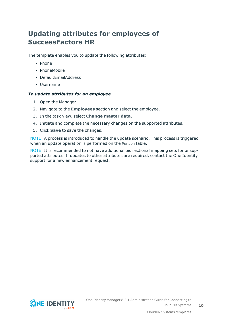### <span id="page-9-0"></span>**Updating attributes for employees of SuccessFactors HR**

The template enables you to update the following attributes:

- Phone
- PhoneMobile
- DefaultEmailAddress
- Username

#### *To update attributes for an employee*

- 1. Open the Manager.
- 2. Navigate to the **Employees** section and select the employee.
- 3. In the task view, select **Change master data**.
- 4. Initiate and complete the necessary changes on the supported attributes.
- 5. Click **Save** to save the changes.

NOTE: A process is introduced to handle the update scenario. This process is triggered when an update operation is performed on the Person table.

NOTE: It is recommended to not have additional bidirectional mapping sets for unsupported attributes. If updates to other attributes are required, contact the One Identity support for a new enhancement request.

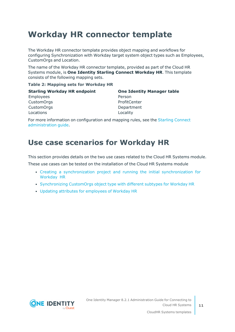## <span id="page-10-0"></span>**Workday HR connector template**

The Workday HR connector template provides object mapping and workflows for configuring Synchronization with Workday target system object types such as Employees, CustomOrgs and Location.

The name of the Workday HR connector template, provided as part of the Cloud HR Systems module, is **One Identity Starling Connect Workday HR**. This template consists of the following mapping sets.

#### **Table 2: Mapping sets for Workday HR**

| <b>Starling Workday HR endpoint</b> | <b>One Identity Manager table</b> |
|-------------------------------------|-----------------------------------|
| <b>Employees</b>                    | Person                            |
| <b>CustomOrgs</b>                   | ProfitCenter                      |
| <b>CustomOrgs</b>                   | Department                        |
| Locations                           | Locality                          |

For more information on configuration and mapping rules, see the Starling [Connect](https://support.oneidentity.com/technical-documents/starling-connect/hosted/administration-guide) [administration](https://support.oneidentity.com/technical-documents/starling-connect/hosted/administration-guide) guide.

### <span id="page-10-1"></span>**Use case scenarios for Workday HR**

This section provides details on the two use cases related to the Cloud HR Systems module.

These use cases can be tested on the installation of the Cloud HR Systems module

- Creating a [synchronization](#page-11-0) project and running the initial synchronization for [Workday](#page-11-0) HR
- [Synchronizing](#page-12-0) CustomOrgs object type with different subtypes for Workday HR
- Updating attributes for [employees](#page-13-0) of Workday HR

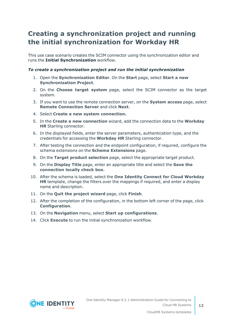### <span id="page-11-0"></span>**Creating a synchronization project and running the initial synchronization for Workday HR**

This use case scenario creates the SCIM connector using the synchronization editor and runs the **Initial Synchronization** workflow.

#### *To create a synchronization project and run the initial synchronization*

- 1. Open the **Synchronization Editor**. On the **Start** page, select **Start a new Synchronization Project**.
- 2. On the **Choose target system** page, select the SCIM connector as the target system.
- 3. If you want to use the remote connection server, on the **System access** page, select **Remote Connection Server** and click **Next**.
- 4. Select **Create a new system connection.**
- 5. In the **Create a new connection** wizard, add the connection data to the **Workday HR** Starling connector.
- 6. In the displayed fields, enter the server parameters, authentication type, and the credentials for accessing the **Workday HR** Starling connector.
- 7. After testing the connection and the endpoint configuration, if required, configure the schema extensions on the **Schema Extensions** page.
- 8. On the **Target product selection** page, select the appropriate target product.
- 9. On the **Display Title** page, enter an appropriate title and select the **Save the connection locally check box**.
- 10. After the schema is loaded, select the **One Identity Connect for Cloud Workday HR** template, change the filters over the mappings if required, and enter a display name and description.
- 11. On the **Quit the project wizard** page, click **Finish**.
- 12. After the completion of the configuration, in the bottom left corner of the page, click **Configuration**.
- 13. On the **Navigation** menu, select **Start up configurations**.
- 14. Click **Execute** to run the initial synchronization workflow.

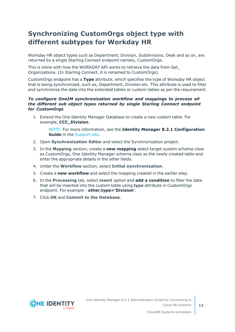### <span id="page-12-0"></span>**Synchronizing CustomOrgs object type with different subtypes for Workday HR**

Workday HR object types such as Department, Division, Subdivisions, Desk and so on, are returned by a single Starling Connect endpoint namely, CustomOrgs.

This is inline with how the WORKDAY API works to retrieve the data from Get\_ Organizations. (In Starling Connect, it is renamed to CustomOrgs).

CustomOrgs endpoint has a **Type** attribute, which specifies the type of Workday HR object that is being synchronized, such as, Department, Division etc. This attribute is used to filter and synchronize the data into the extended tables or custom tables as per the requirement.

#### *To configure OneIM synchronization workflow and mappings to process all the different sub object types returned by single Starling Connect endpoint for CustomOrgs*

1. Extend the One Identity Manager Database to create a new custom table. For example, **CCC\_Division**.

NOTE: For more information, see the **Identity Manager 8.2.1 Configuration Guide** in the [Support](https://support.oneidentity.com/identity-manager/8.0.4/technical-documents) site.

- 2. Open **Synchronization Editor** and select the Synchronization project.
- 3. In the **Mapping** section, create a **new mapping** select target system schema class as CustomOrgs, One Identity Manager schema class as the newly created table and enter the appropriate details in the other fields.
- 4. Under the **Workflow** section, select **Initial synchronization**.
- 5. Create a **new workflow** and select the mapping created in the earlier step.
- 6. In the **Processing** tab, select **insert** option and **add a condition** to filter the data that will be inserted into the custom table using **type** attribute in CustomOrgs endpoint. For example : **other.type='Division'**.
- 7. Click **OK** and **Commit to the Database**.

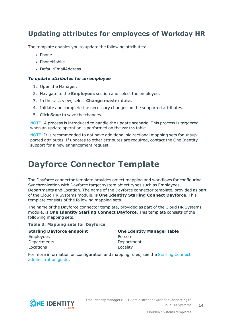### <span id="page-13-0"></span>**Updating attributes for employees of Workday HR**

The template enables you to update the following attributes:

- Phone
- PhoneMobile
- DefaultEmailAddress

### *To update attributes for an employee*

- 1. Open the Manager.
- 2. Navigate to the **Employees** section and select the employee.
- 3. In the task view, select **Change master data**.
- 4. Initiate and complete the necessary changes on the supported attributes.
- 5. Click **Save** to save the changes.

NOTE: A process is introduced to handle the update scenario. This process is triggered when an update operation is performed on the Person table.

NOTE: It is recommended to not have additional bidirectional mapping sets for unsupported attributes. If updates to other attributes are required, contact the One Identity support for a new enhancement request.

## <span id="page-13-1"></span>**Dayforce Connector Template**

The Dayforce connector template provides object mapping and workflows for configuring Synchronization with Dayforce target system object types such as Employees, Departments and Location. The name of the Dayforce connector template, provided as part of the Cloud HR Systems module, is **One Identity Starling Connect Dayforce**. This template consists of the following mapping sets.

The name of the Dayforce connector template, provided as part of the Cloud HR Systems module, is **One Identity Starling Connect Dayforce**. This template consists of the following mapping sets.

#### **Table 3: Mapping sets for Dayforce**

**Starling Dayforce endpoint One Identity Manager table**

Employees **Person** Departments Department Locations **Locations Locality** 

For more information on configuration and mapping rules, see the Starling [Connect](https://support.oneidentity.com/technical-documents/starling-connect/hosted/administration-guide) [administration](https://support.oneidentity.com/technical-documents/starling-connect/hosted/administration-guide) guide.



One Identity Manager 8.2.1 Administration Guide for Connecting to Cloud HR Systems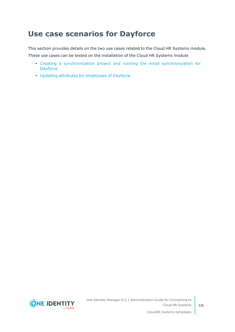### <span id="page-14-0"></span>**Use case scenarios for Dayforce**

This section provides details on the two use cases related to the Cloud HR Systems module. These use cases can be tested on the installation of the Cloud HR Systems module

- Creating a [synchronization](#page-15-0) project and running the initial synchronization for **[Dayforce](#page-15-0)**
- Updating attributes for [employees](#page-16-0) of Dayforce

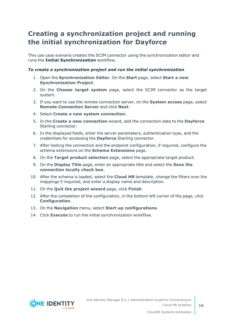### <span id="page-15-0"></span>**Creating a synchronization project and running the initial synchronization for Dayforce**

This use case scenario creates the SCIM connector using the synchronization editor and runs the **Initial Synchronization** workflow.

### *To create a synchronization project and run the initial synchronization*

- 1. Open the **Synchronization Editor**. On the **Start** page, select **Start a new Synchronization Project**.
- 2. On the **Choose target system** page, select the SCIM connector as the target system.
- 3. If you want to use the remote connection server, on the **System access** page, select **Remote Connection Server** and click **Next**.
- 4. Select **Create a new system connection.**
- 5. In the **Create a new connection** wizard, add the connection data to the **Dayforce** Starling connector.
- 6. In the displayed fields, enter the server parameters, authentication type, and the credentials for accessing the **Dayforce** Starling connector.
- 7. After testing the connection and the endpoint configuration, if required, configure the schema extensions on the **Schema Extensions** page.
- 8. On the **Target product selection** page, select the appropriate target product.
- 9. On the **Display Title** page, enter an appropriate title and select the **Save the connection locally check box**.
- 10. After the schema is loaded, select the **Cloud HR** template, change the filters over the mappings if required, and enter a display name and description.
- 11. On the **Quit the project wizard** page, click **Finish**.
- 12. After the completion of the configuration, in the bottom left corner of the page, click **Configuration**.
- 13. On the **Navigation** menu, select **Start up configurations**.
- 14. Click **Execute** to run the initial synchronization workflow.

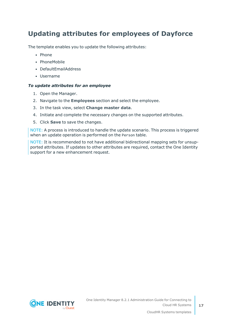### <span id="page-16-0"></span>**Updating attributes for employees of Dayforce**

The template enables you to update the following attributes:

- Phone
- PhoneMobile
- DefaultEmailAddress
- Username

### *To update attributes for an employee*

- 1. Open the Manager.
- 2. Navigate to the **Employees** section and select the employee.
- 3. In the task view, select **Change master data**.
- 4. Initiate and complete the necessary changes on the supported attributes.
- 5. Click **Save** to save the changes.

NOTE: A process is introduced to handle the update scenario. This process is triggered when an update operation is performed on the Person table.

NOTE: It is recommended to not have additional bidirectional mapping sets for unsupported attributes. If updates to other attributes are required, contact the One Identity support for a new enhancement request.

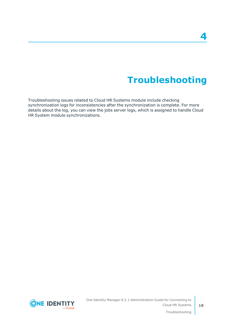## **Troubleshooting**

<span id="page-17-0"></span>Troubleshooting issues related to Cloud HR Systems module include checking synchronization logs for inconsistencies after the synchronization is complete. For more details about the log, you can view the jobs server logs, which is assigned to handle Cloud HR System module synchronizations.



Troubleshooting